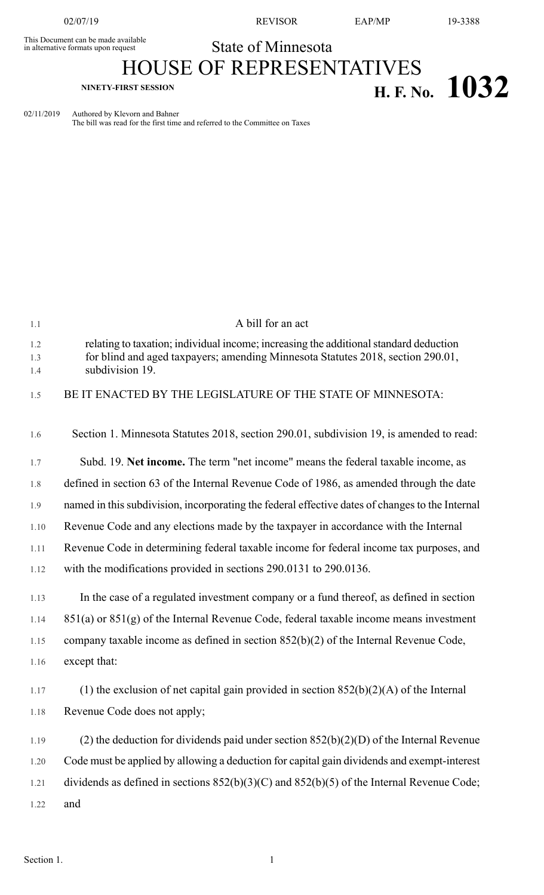This Document can be made available<br>in alternative formats upon request

02/07/19 REVISOR EAP/MP 19-3388

## State of Minnesota HOUSE OF REPRESENTATIVES **NINETY-FIRST SESSION H. F. No. 1032**

02/11/2019 Authored by Klevorn and Bahner The bill was read for the first time and referred to the Committee on Taxes

| 1.1        | A bill for an act                                                                                  |
|------------|----------------------------------------------------------------------------------------------------|
| 1.2        | relating to taxation; individual income; increasing the additional standard deduction              |
| 1.3<br>1.4 | for blind and aged taxpayers; amending Minnesota Statutes 2018, section 290.01,<br>subdivision 19. |
| 1.5        | BE IT ENACTED BY THE LEGISLATURE OF THE STATE OF MINNESOTA:                                        |
| 1.6        | Section 1. Minnesota Statutes 2018, section 290.01, subdivision 19, is amended to read:            |
| 1.7        | Subd. 19. Net income. The term "net income" means the federal taxable income, as                   |
| 1.8        | defined in section 63 of the Internal Revenue Code of 1986, as amended through the date            |
| 1.9        | named in this subdivision, incorporating the federal effective dates of changes to the Internal    |
| 1.10       | Revenue Code and any elections made by the taxpayer in accordance with the Internal                |
| 1.11       | Revenue Code in determining federal taxable income for federal income tax purposes, and            |
| 1.12       | with the modifications provided in sections 290.0131 to 290.0136.                                  |
| 1.13       | In the case of a regulated investment company or a fund thereof, as defined in section             |
| 1.14       | $851(a)$ or $851(g)$ of the Internal Revenue Code, federal taxable income means investment         |
| 1.15       | company taxable income as defined in section $852(b)(2)$ of the Internal Revenue Code,             |
| 1.16       | except that:                                                                                       |
| 1.17       | (1) the exclusion of net capital gain provided in section $852(b)(2)(A)$ of the Internal           |
| 1.18       | Revenue Code does not apply;                                                                       |
| 1.19       | (2) the deduction for dividends paid under section $852(b)(2)(D)$ of the Internal Revenue          |
| 1.20       | Code must be applied by allowing a deduction for capital gain dividends and exempt-interest        |
| 1.21       | dividends as defined in sections $852(b)(3)(C)$ and $852(b)(5)$ of the Internal Revenue Code;      |
| 1.22       | and                                                                                                |
|            |                                                                                                    |